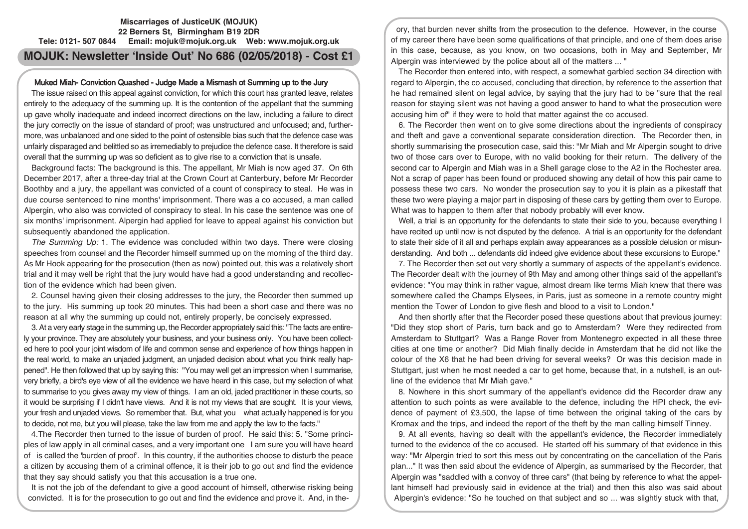# **Miscarriages of JusticeUK (MOJUK) 22 Berners St, Birmingham B19 2DR Tele: 0121- 507 0844 Email: mojuk@mojuk.org.uk Web: www.mojuk.org.uk**

# **MOJUK: Newsletter 'Inside Out' No 686 (02/05/2018) - Cost £1**

# Muked Miah- Conviction Quashed - Judge Made a Mismash ot Summing up to the Jury

The issue raised on this appeal against conviction, for which this court has granted leave, relates entirely to the adequacy of the summing up. It is the contention of the appellant that the summing up gave wholly inadequate and indeed incorrect directions on the law, including a failure to direct the jury correctly on the issue of standard of proof; was unstructured and unfocused; and, furthermore, was unbalanced and one sided to the point of ostensible bias such that the defence case was unfairly disparaged and belittled so as irremediably to prejudice the defence case. It therefore is said overall that the summing up was so deficient as to give rise to a conviction that is unsafe.

Background facts: The background is this. The appellant, Mr Miah is now aged 37. On 6th December 2017, after a three-day trial at the Crown Court at Canterbury, before Mr Recorder Boothby and a jury, the appellant was convicted of a count of conspiracy to steal. He was in due course sentenced to nine months' imprisonment. There was a co accused, a man called Alpergin, who also was convicted of conspiracy to steal. In his case the sentence was one of six months' imprisonment. Alpergin had applied for leave to appeal against his conviction but subsequently abandoned the application.

The Summing Up: 1. The evidence was concluded within two days. There were closing speeches from counsel and the Recorder himself summed up on the morning of the third day. As Mr Hook appearing for the prosecution (then as now) pointed out, this was a relatively short trial and it may well be right that the jury would have had a good understanding and recollection of the evidence which had been given.

2. Counsel having given their closing addresses to the jury, the Recorder then summed up to the jury. His summing up took 20 minutes. This had been a short case and there was no reason at all why the summing up could not, entirely properly, be concisely expressed.

3.At a very early stage in the summing up, the Recorder appropriately said this:"The facts are entirely your province. They are absolutely your business, and your business only. You have been collected here to pool your joint wisdom of life and common sense and experience of how things happen in the real world, to make an unjaded judgment, an unjaded decision about what you think really happened". He then followed that up by saying this: "You may well get an impression when I summarise, very briefly, a bird's eye view of all the evidence we have heard in this case, but my selection of what to summarise to you gives away my view of things. I am an old, jaded practitioner in these courts, so it would be surprising if I didn't have views. And it is not my views that are sought. It is your views, your fresh and unjaded views. So remember that. But, what you what actually happened is for you to decide, not me, but you will please, take the law from me and apply the law to the facts."

4.The Recorder then turned to the issue of burden of proof. He said this: 5. "Some principles of law apply in all criminal cases, and a very important one I am sure you will have heard of is called the 'burden of proof'. In this country, if the authorities choose to disturb the peace a citizen by accusing them of a criminal offence, it is their job to go out and find the evidence that they say should satisfy you that this accusation is a true one.

It is not the job of the defendant to give a good account of himself, otherwise risking being convicted. It is for the prosecution to go out and find the evidence and prove it. And, in the-

ory, that burden never shifts from the prosecution to the defence. However, in the course of my career there have been some qualifications of that principle, and one of them does arise in this case, because, as you know, on two occasions, both in May and September, Mr Alpergin was interviewed by the police about all of the matters ... "

The Recorder then entered into, with respect, a somewhat garbled section 34 direction with regard to Alpergin, the co accused, concluding that direction, by reference to the assertion that he had remained silent on legal advice, by saying that the jury had to be "sure that the real reason for staying silent was not having a good answer to hand to what the prosecution were accusing him of" if they were to hold that matter against the co accused.

6. The Recorder then went on to give some directions about the ingredients of conspiracy and theft and gave a conventional separate consideration direction. The Recorder then, in shortly summarising the prosecution case, said this: "Mr Miah and Mr Alpergin sought to drive two of those cars over to Europe, with no valid booking for their return. The delivery of the second car to Alpergin and Miah was in a Shell garage close to the A2 in the Rochester area. Not a scrap of paper has been found or produced showing any detail of how this pair came to possess these two cars. No wonder the prosecution say to you it is plain as a pikestaff that these two were playing a major part in disposing of these cars by getting them over to Europe. What was to happen to them after that nobody probably will ever know.

Well, a trial is an opportunity for the defendants to state their side to you, because everything I have recited up until now is not disputed by the defence. A trial is an opportunity for the defendant to state their side of it all and perhaps explain away appearances as a possible delusion or misunderstanding. And both ... defendants did indeed give evidence about these excursions to Europe."

7. The Recorder then set out very shortly a summary of aspects of the appellant's evidence. The Recorder dealt with the journey of 9th May and among other things said of the appellant's evidence: "You may think in rather vague, almost dream like terms Miah knew that there was somewhere called the Champs Elysees, in Paris, just as someone in a remote country might mention the Tower of London to give flesh and blood to a visit to London."

And then shortly after that the Recorder posed these questions about that previous journey: "Did they stop short of Paris, turn back and go to Amsterdam? Were they redirected from Amsterdam to Stuttgart? Was a Range Rover from Montenegro expected in all these three cities at one time or another? Did Miah finally decide in Amsterdam that he did not like the colour of the X6 that he had been driving for several weeks? Or was this decision made in Stuttgart, just when he most needed a car to get home, because that, in a nutshell, is an outline of the evidence that Mr Miah gave."

8. Nowhere in this short summary of the appellant's evidence did the Recorder draw any attention to such points as were available to the defence, including the HPI check, the evidence of payment of £3,500, the lapse of time between the original taking of the cars by Kromax and the trips, and indeed the report of the theft by the man calling himself Tinney.

9. At all events, having so dealt with the appellant's evidence, the Recorder immediately turned to the evidence of the co accused. He started off his summary of that evidence in this way: "Mr Alpergin tried to sort this mess out by concentrating on the cancellation of the Paris plan..." It was then said about the evidence of Alpergin, as summarised by the Recorder, that Alpergin was "saddled with a convoy of three cars" (that being by reference to what the appellant himself had previously said in evidence at the trial) and then this also was said about Alpergin's evidence: "So he touched on that subject and so ... was slightly stuck with that,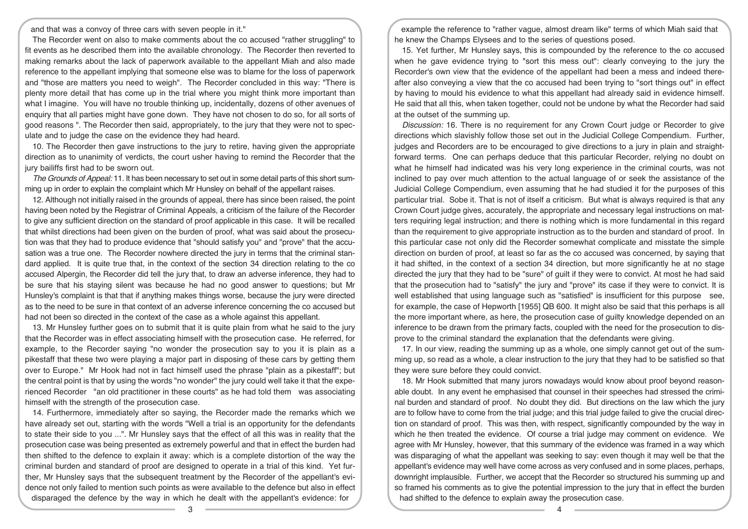and that was a convoy of three cars with seven people in it."

The Recorder went on also to make comments about the co accused "rather struggling" to fit events as he described them into the available chronology. The Recorder then reverted to making remarks about the lack of paperwork available to the appellant Miah and also made reference to the appellant implying that someone else was to blame for the loss of paperwork and "those are matters you need to weigh". The Recorder concluded in this way: "There is plenty more detail that has come up in the trial where you might think more important than what I imagine. You will have no trouble thinking up, incidentally, dozens of other avenues of enquiry that all parties might have gone down. They have not chosen to do so, for all sorts of good reasons ". The Recorder then said, appropriately, to the jury that they were not to speculate and to judge the case on the evidence they had heard.

10. The Recorder then gave instructions to the jury to retire, having given the appropriate direction as to unanimity of verdicts, the court usher having to remind the Recorder that the jury bailiffs first had to be sworn out.

The Grounds of Appeal: 11. It has been necessary to set out in some detail parts of this short summing up in order to explain the complaint which Mr Hunsley on behalf of the appellant raises.

12. Although not initially raised in the grounds of appeal, there has since been raised, the point having been noted by the Registrar of Criminal Appeals, a criticism of the failure of the Recorder to give any sufficient direction on the standard of proof applicable in this case. It will be recalled that whilst directions had been given on the burden of proof, what was said about the prosecution was that they had to produce evidence that "should satisfy you" and "prove" that the accusation was a true one. The Recorder nowhere directed the jury in terms that the criminal standard applied. It is quite true that, in the context of the section 34 direction relating to the co accused Alpergin, the Recorder did tell the jury that, to draw an adverse inference, they had to be sure that his staying silent was because he had no good answer to questions; but Mr Hunsley's complaint is that that if anything makes things worse, because the jury were directed as to the need to be sure in that context of an adverse inference concerning the co accused but had not been so directed in the context of the case as a whole against this appellant.

13. Mr Hunsley further goes on to submit that it is quite plain from what he said to the jury that the Recorder was in effect associating himself with the prosecution case. He referred, for example, to the Recorder saying "no wonder the prosecution say to you it is plain as a pikestaff that these two were playing a major part in disposing of these cars by getting them over to Europe." Mr Hook had not in fact himself used the phrase "plain as a pikestaff"; but the central point is that by using the words "no wonder" the jury could well take it that the experienced Recorder "an old practitioner in these courts" as he had told them was associating himself with the strength of the prosecution case.

14. Furthermore, immediately after so saying, the Recorder made the remarks which we have already set out, starting with the words "Well a trial is an opportunity for the defendants to state their side to you ...". Mr Hunsley says that the effect of all this was in reality that the prosecution case was being presented as extremely powerful and that in effect the burden had then shifted to the defence to explain it away: which is a complete distortion of the way the criminal burden and standard of proof are designed to operate in a trial of this kind. Yet further, Mr Hunsley says that the subsequent treatment by the Recorder of the appellant's evidence not only failed to mention such points as were available to the defence but also in effect disparaged the defence by the way in which he dealt with the appellant's evidence: for

example the reference to "rather vague, almost dream like" terms of which Miah said that he knew the Champs Elysees and to the series of questions posed.

15. Yet further, Mr Hunsley says, this is compounded by the reference to the co accused when he gave evidence trying to "sort this mess out": clearly conveying to the jury the Recorder's own view that the evidence of the appellant had been a mess and indeed thereafter also conveying a view that the co accused had been trying to "sort things out" in effect by having to mould his evidence to what this appellant had already said in evidence himself. He said that all this, when taken together, could not be undone by what the Recorder had said at the outset of the summing up.

Discussion: 16. There is no requirement for any Crown Court judge or Recorder to give directions which slavishly follow those set out in the Judicial College Compendium. Further, judges and Recorders are to be encouraged to give directions to a jury in plain and straightforward terms. One can perhaps deduce that this particular Recorder, relying no doubt on what he himself had indicated was his very long experience in the criminal courts, was not inclined to pay over much attention to the actual language of or seek the assistance of the Judicial College Compendium, even assuming that he had studied it for the purposes of this particular trial. Sobe it. That is not of itself a criticism. But what is always required is that any Crown Court judge gives, accurately, the appropriate and necessary legal instructions on matters requiring legal instruction; and there is nothing which is more fundamental in this regard than the requirement to give appropriate instruction as to the burden and standard of proof. In this particular case not only did the Recorder somewhat complicate and misstate the simple direction on burden of proof, at least so far as the co accused was concerned, by saying that it had shifted, in the context of a section 34 direction, but more significantly he at no stage directed the jury that they had to be "sure" of guilt if they were to convict. At most he had said that the prosecution had to "satisfy" the jury and "prove" its case if they were to convict. It is well established that using language such as "satisfied" is insufficient for this purpose see, for example, the case of Hepworth [1955] QB 600. It might also be said that this perhaps is all the more important where, as here, the prosecution case of guilty knowledge depended on an inference to be drawn from the primary facts, coupled with the need for the prosecution to disprove to the criminal standard the explanation that the defendants were giving.

17. In our view, reading the summing up as a whole, one simply cannot get out of the summing up, so read as a whole, a clear instruction to the jury that they had to be satisfied so that they were sure before they could convict.

18. Mr Hook submitted that many jurors nowadays would know about proof beyond reasonable doubt. In any event he emphasised that counsel in their speeches had stressed the criminal burden and standard of proof. No doubt they did. But directions on the law which the jury are to follow have to come from the trial judge; and this trial judge failed to give the crucial direction on standard of proof. This was then, with respect, significantly compounded by the way in which he then treated the evidence. Of course a trial judge may comment on evidence. We agree with Mr Hunsley, however, that this summary of the evidence was framed in a way which was disparaging of what the appellant was seeking to say: even though it may well be that the appellant's evidence may well have come across as very confused and in some places, perhaps, downright implausible. Further, we accept that the Recorder so structured his summing up and so framed his comments as to give the potential impression to the jury that in effect the burden had shifted to the defence to explain away the prosecution case.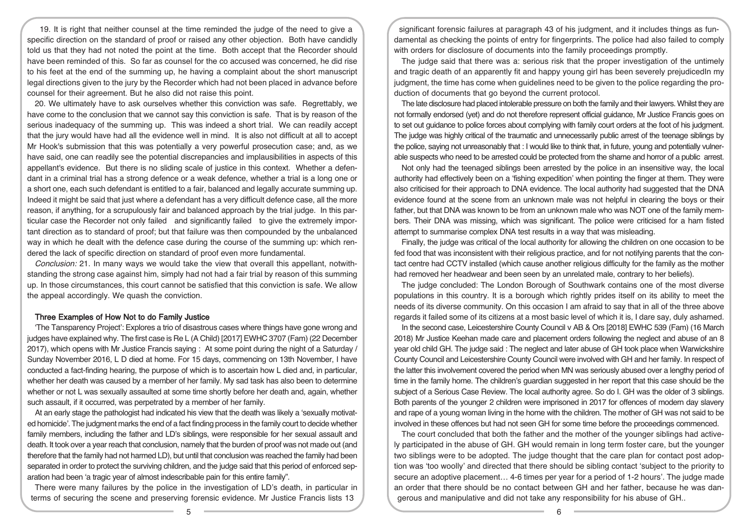19. It is right that neither counsel at the time reminded the judge of the need to give a specific direction on the standard of proof or raised any other objection. Both have candidly told us that they had not noted the point at the time. Both accept that the Recorder should have been reminded of this. So far as counsel for the co accused was concerned, he did rise to his feet at the end of the summing up, he having a complaint about the short manuscript legal directions given to the jury by the Recorder which had not been placed in advance before counsel for their agreement. But he also did not raise this point.

20. We ultimately have to ask ourselves whether this conviction was safe. Regrettably, we have come to the conclusion that we cannot say this conviction is safe. That is by reason of the serious inadequacy of the summing up. This was indeed a short trial. We can readily accept that the jury would have had all the evidence well in mind. It is also not difficult at all to accept Mr Hook's submission that this was potentially a very powerful prosecution case; and, as we have said, one can readily see the potential discrepancies and implausibilities in aspects of this appellant's evidence. But there is no sliding scale of justice in this context. Whether a defendant in a criminal trial has a strong defence or a weak defence, whether a trial is a long one or a short one, each such defendant is entitled to a fair, balanced and legally accurate summing up. Indeed it might be said that just where a defendant has a very difficult defence case, all the more reason, if anything, for a scrupulously fair and balanced approach by the trial judge. In this particular case the Recorder not only failed and significantly failed to give the extremely important direction as to standard of proof; but that failure was then compounded by the unbalanced way in which he dealt with the defence case during the course of the summing up: which rendered the lack of specific direction on standard of proof even more fundamental.

Conclusion: 21. In many ways we would take the view that overall this appellant, notwithstanding the strong case against him, simply had not had a fair trial by reason of this summing up. In those circumstances, this court cannot be satisfied that this conviction is safe. We allow the appeal accordingly. We quash the conviction.

#### Three Examples of How Not to do Family Justice

'The Tansparency Project': Explores a trio of disastrous cases where things have gone wrong and judges have explained why. The first case is Re L (A Child) [2017] EWHC 3707 (Fam) (22 December 2017), which opens with Mr Justice Francis saying : At some point during the night of a Saturday / Sunday November 2016, L D died at home. For 15 days, commencing on 13th November, I have conducted a fact-finding hearing, the purpose of which is to ascertain how L died and, in particular, whether her death was caused by a member of her family. My sad task has also been to determine whether or not L was sexually assaulted at some time shortly before her death and, again, whether such assault, if it occurred, was perpetrated by a member of her family.

At an early stage the pathologist had indicated his view that the death was likely a 'sexually motivated homicide'. The judgment marks the end of a fact finding process in the family court to decide whether family members, including the father and LD's siblings, were responsible for her sexual assault and death. It took over a year reach that conclusion, namely that the burden of proof was not made out (and therefore that the family had not harmed LD), but until that conclusion was reached the family had been separated in order to protect the surviving children, and the judge said that this period of enforced separation had been 'a tragic year of almost indescribable pain for this entire family".

There were many failures by the police in the investigation of LD's death, in particular in terms of securing the scene and preserving forensic evidence. Mr Justice Francis lists 13

significant forensic failures at paragraph 43 of his judgment, and it includes things as fundamental as checking the points of entry for fingerprints. The police had also failed to comply with orders for disclosure of documents into the family proceedings promptly.

The judge said that there was a: serious risk that the proper investigation of the untimely and tragic death of an apparently fit and happy young girl has been severely prejudicedIn my judgment, the time has come when guidelines need to be given to the police regarding the production of documents that go beyond the current protocol.

The late disclosure had placed intolerable pressure on both the family and their lawyers. Whilst they are not formally endorsed (yet) and do not therefore represent official guidance, Mr Justice Francis goes on to set out guidance to police forces about complying with family court orders at the foot of his judgment. The judge was highly critical of the traumatic and unnecessarily public arrest of the teenage siblings by the police, saying not unreasonably that : I would like to think that, in future, young and potentially vulnerable suspects who need to be arrested could be protected from the shame and horror of a public arrest.

Not only had the teenaged siblings been arrested by the police in an insensitive way, the local authority had effectively been on a 'fishing expedition' when pointing the finger at them. They were also criticised for their approach to DNA evidence. The local authority had suggested that the DNA evidence found at the scene from an unknown male was not helpful in clearing the boys or their father, but that DNA was known to be from an unknown male who was NOT one of the family members. Their DNA was missing, which was significant. The police were criticised for a ham fisted attempt to summarise complex DNA test results in a way that was misleading.

Finally, the judge was critical of the local authority for allowing the children on one occasion to be fed food that was inconsistent with their religious practice, and for not notifying parents that the contact centre had CCTV installed (which cause another religious difficulty for the family as the mother had removed her headwear and been seen by an unrelated male, contrary to her beliefs).

The judge concluded: The London Borough of Southwark contains one of the most diverse populations in this country. It is a borough which rightly prides itself on its ability to meet the needs of its diverse community. On this occasion I am afraid to say that in all of the three above regards it failed some of its citizens at a most basic level of which it is, I dare say, duly ashamed.

In the second case, Leicestershire County Council v AB & Ors [2018] EWHC 539 (Fam) (16 March 2018) Mr Justice Keehan made care and placement orders following the neglect and abuse of an 8 year old child GH. The judge said : The neglect and later abuse of GH took place when Warwickshire County Council and Leicestershire County Council were involved with GH and her family. In respect of the latter this involvement covered the period when MN was seriously abused over a lengthy period of time in the family home. The children's guardian suggested in her report that this case should be the subject of a Serious Case Review. The local authority agree. So do I. GH was the older of 3 siblings. Both parents of the younger 2 children were imprisoned in 2017 for offences of modern day slavery and rape of a young woman living in the home with the children. The mother of GH was not said to be involved in these offences but had not seen GH for some time before the proceedings commenced.

The court concluded that both the father and the mother of the younger siblings had actively participated in the abuse of GH. GH would remain in long term foster care, but the younger two siblings were to be adopted. The judge thought that the care plan for contact post adoption was 'too woolly' and directed that there should be sibling contact 'subject to the priority to secure an adoptive placement… 4-6 times per year for a period of 1-2 hours'. The judge made an order that there should be no contact between GH and her father, because he was dangerous and manipulative and did not take any responsibility for his abuse of GH..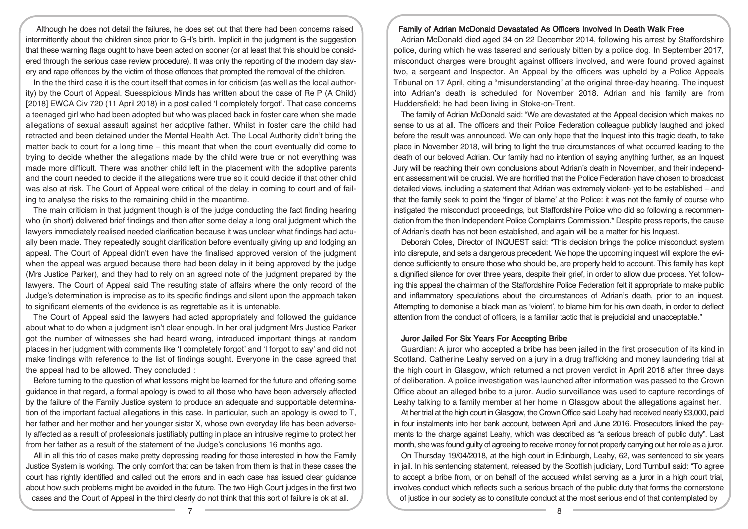Although he does not detail the failures, he does set out that there had been concerns raised intermittently about the children since prior to GH's birth. Implicit in the judgment is the suggestion that these warning flags ought to have been acted on sooner (or at least that this should be considered through the serious case review procedure). It was only the reporting of the modern day slavery and rape offences by the victim of those offences that prompted the removal of the children.

In the the third case it is the court itself that comes in for criticism (as well as the local authority) by the Court of Appeal. Suesspicious Minds has written about the case of Re P (A Child) [2018] EWCA Civ 720 (11 April 2018) in a post called 'I completely forgot'. That case concerns a teenaged girl who had been adopted but who was placed back in foster care when she made allegations of sexual assault against her adoptive father. Whilst in foster care the child had retracted and been detained under the Mental Health Act. The Local Authority didn't bring the matter back to court for a long time – this meant that when the court eventually did come to trying to decide whether the allegations made by the child were true or not everything was made more difficult. There was another child left in the placement with the adoptive parents and the court needed to decide if the allegations were true so it could decide if that other child was also at risk. The Court of Appeal were critical of the delay in coming to court and of failing to analyse the risks to the remaining child in the meantime.

The main criticism in that judgment though is of the judge conducting the fact finding hearing who (in short) delivered brief findings and then after some delay a long oral judgment which the lawyers immediately realised needed clarification because it was unclear what findings had actually been made. They repeatedly sought clarification before eventually giving up and lodging an appeal. The Court of Appeal didn't even have the finalised approved version of the judgment when the appeal was argued because there had been delay in it being approved by the judge (Mrs Justice Parker), and they had to rely on an agreed note of the judgment prepared by the lawyers. The Court of Appeal said The resulting state of affairs where the only record of the Judge's determination is imprecise as to its specific findings and silent upon the approach taken to significant elements of the evidence is as regrettable as it is untenable.

The Court of Appeal said the lawyers had acted appropriately and followed the guidance about what to do when a judgment isn't clear enough. In her oral judgment Mrs Justice Parker got the number of witnesses she had heard wrong, introduced important things at random places in her judgment with comments like 'I completely forgot' and 'I forgot to say' and did not make findings with reference to the list of findings sought. Everyone in the case agreed that the appeal had to be allowed. They concluded :

Before turning to the question of what lessons might be learned for the future and offering some guidance in that regard, a formal apology is owed to all those who have been adversely affected by the failure of the Family Justice system to produce an adequate and supportable determination of the important factual allegations in this case. In particular, such an apology is owed to T, her father and her mother and her younger sister X, whose own everyday life has been adversely affected as a result of professionals justifiably putting in place an intrusive regime to protect her from her father as a result of the statement of the Judge's conclusions 16 months ago.

All in all this trio of cases make pretty depressing reading for those interested in how the Family Justice System is working. The only comfort that can be taken from them is that in these cases the court has rightly identified and called out the errors and in each case has issued clear guidance about how such problems might be avoided in the future. The two High Court judges in the first two cases and the Court of Appeal in the third clearly do not think that this sort of failure is ok at all.

#### Family of Adrian McDonald Devastated As Officers Involved In Death Walk Free

Adrian McDonald died aged 34 on 22 December 2014, following his arrest by Staffordshire police, during which he was tasered and seriously bitten by a police dog. In September 2017, misconduct charges were brought against officers involved, and were found proved against two, a sergeant and Inspector. An Appeal by the officers was upheld by a Police Appeals Tribunal on 17 April, citing a "misunderstanding" at the original three-day hearing. The inquest into Adrian's death is scheduled for November 2018. Adrian and his family are from Huddersfield; he had been living in Stoke-on-Trent.

The family of Adrian McDonald said: "We are devastated at the Appeal decision which makes no sense to us at all. The officers and their Police Federation colleague publicly laughed and joked before the result was announced. We can only hope that the Inquest into this tragic death, to take place in November 2018, will bring to light the true circumstances of what occurred leading to the death of our beloved Adrian. Our family had no intention of saying anything further, as an Inquest Jury will be reaching their own conclusions about Adrian's death in November, and their independent assessment will be crucial. We are horrified that the Police Federation have chosen to broadcast detailed views, including a statement that Adrian was extremely violent- yet to be established – and that the family seek to point the 'finger of blame' at the Police: it was not the family of course who instigated the misconduct proceedings, but Staffordshire Police who did so following a recommendation from the then Independent Police Complaints Commission.\* Despite press reports, the cause of Adrian's death has not been established, and again will be a matter for his Inquest.

Deborah Coles, Director of INQUEST said: "This decision brings the police misconduct system into disrepute, and sets a dangerous precedent. We hope the upcoming inquest will explore the evidence sufficiently to ensure those who should be, are properly held to account. This family has kept a dignified silence for over three years, despite their grief, in order to allow due process. Yet following this appeal the chairman of the Staffordshire Police Federation felt it appropriate to make public and inflammatory speculations about the circumstances of Adrian's death, prior to an inquest. Attempting to demonise a black man as 'violent', to blame him for his own death, in order to deflect attention from the conduct of officers, is a familiar tactic that is prejudicial and unacceptable."

# Juror Jailed For Six Years For Accepting Bribe

Guardian: A juror who accepted a bribe has been jailed in the first prosecution of its kind in Scotland. Catherine Leahy served on a jury in a drug trafficking and money laundering trial at the high court in Glasgow, which returned a not proven verdict in April 2016 after three days of deliberation. A police investigation was launched after information was passed to the Crown Office about an alleged bribe to a juror. Audio surveillance was used to capture recordings of Leahy talking to a family member at her home in Glasgow about the allegations against her.

At her trial at the high court in Glasgow, the Crown Office said Leahy had received nearly £3,000, paid in four instalments into her bank account, between April and June 2016. Prosecutors linked the payments to the charge against Leahy, which was described as "a serious breach of public duty". Last month, she was found guilty of agreeing to receive money for not properly carrying out herrole as a juror.

On Thursday 19/04/2018, at the high court in Edinburgh, Leahy, 62, was sentenced to six years in jail. In his sentencing statement, released by the Scottish judiciary, Lord Turnbull said: "To agree to accept a bribe from, or on behalf of the accused whilst serving as a juror in a high court trial, involves conduct which reflects such a serious breach of the public duty that forms the cornerstone of justice in our society as to constitute conduct at the most serious end of that contemplated by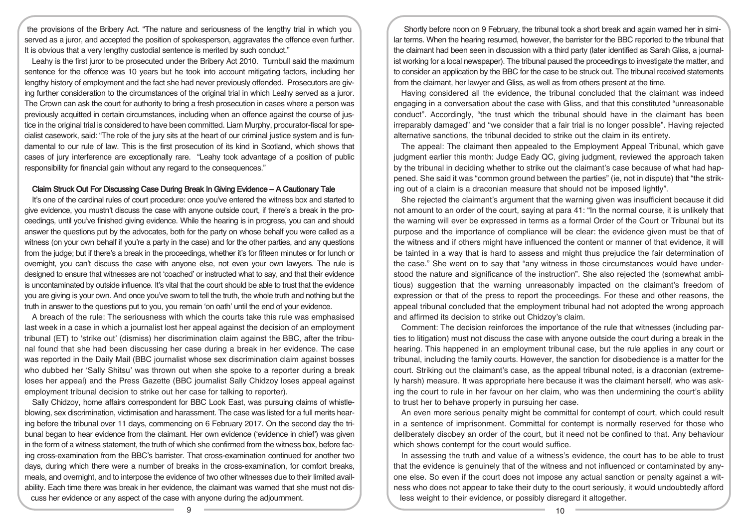the provisions of the Bribery Act. "The nature and seriousness of the lengthy trial in which you served as a juror, and accepted the position of spokesperson, aggravates the offence even further. It is obvious that a very lengthy custodial sentence is merited by such conduct."

Leahy is the first juror to be prosecuted under the Bribery Act 2010. Turnbull said the maximum sentence for the offence was 10 years but he took into account mitigating factors, including her lengthy history of employment and the fact she had never previously offended. Prosecutors are giving further consideration to the circumstances of the original trial in which Leahy served as a juror. The Crown can ask the court for authority to bring a fresh prosecution in cases where a person was previously acquitted in certain circumstances, including when an offence against the course of justice in the original trial is considered to have been committed. Liam Murphy, procurator-fiscal for specialist casework, said: "The role of the jury sits at the heart of our criminal justice system and is fundamental to our rule of law. This is the first prosecution of its kind in Scotland, which shows that cases of jury interference are exceptionally rare. "Leahy took advantage of a position of public responsibility for financial gain without any regard to the consequences."

#### Claim Struck Out For Discussing Case During Break In Giving Evidence – A Cautionary Tale

It's one of the cardinal rules of court procedure: once you've entered the witness box and started to give evidence, you mustn't discuss the case with anyone outside court, if there's a break in the proceedings, until you've finished giving evidence. While the hearing is in progress, you can and should answer the questions put by the advocates, both for the party on whose behalf you were called as a witness (on your own behalf if you're a party in the case) and for the other parties, and any questions from the judge; but if there's a break in the proceedings, whether it's for fifteen minutes or for lunch or overnight, you can't discuss the case with anyone else, not even your own lawyers. The rule is designed to ensure that witnesses are not 'coached' or instructed what to say, and that their evidence is uncontaminated by outside influence. It's vital that the court should be able to trust that the evidence you are giving is your own. And once you've sworn to tell the truth, the whole truth and nothing but the truth in answer to the questions put to you, you remain 'on oath' until the end of your evidence.

A breach of the rule: The seriousness with which the courts take this rule was emphasised last week in a case in which a journalist lost her appeal against the decision of an employment tribunal (ET) to 'strike out' (dismiss) her discrimination claim against the BBC, after the tribunal found that she had been discussing her case during a break in her evidence. The case was reported in the Daily Mail (BBC journalist whose sex discrimination claim against bosses who dubbed her 'Sally Shitsu' was thrown out when she spoke to a reporter during a break loses her appeal) and the Press Gazette (BBC journalist Sally Chidzoy loses appeal against employment tribunal decision to strike out her case for talking to reporter).

Sally Chidzoy, home affairs correspondent for BBC Look East, was pursuing claims of whistleblowing, sex discrimination, victimisation and harassment. The case was listed for a full merits hearing before the tribunal over 11 days, commencing on 6 February 2017. On the second day the tribunal began to hear evidence from the claimant. Her own evidence ('evidence in chief') was given in the form of a witness statement, the truth of which she confirmed from the witness box, before facing cross-examination from the BBC's barrister. That cross-examination continued for another two days, during which there were a number of breaks in the cross-examination, for comfort breaks, meals, and overnight, and to interpose the evidence of two other witnesses due to their limited availability. Each time there was break in her evidence, the claimant was warned that she must not discuss her evidence or any aspect of the case with anyone during the adjournment.

Shortly before noon on 9 February, the tribunal took a short break and again warned her in similar terms. When the hearing resumed, however, the barrister for the BBC reported to the tribunal that the claimant had been seen in discussion with a third party (later identified as Sarah Gliss, a journalist working for a local newspaper). The tribunal paused the proceedings to investigate the matter, and to consider an application by the BBC for the case to be struck out. The tribunal received statements from the claimant, her lawyer and Gliss, as well as from others present at the time.

Having considered all the evidence, the tribunal concluded that the claimant was indeed engaging in a conversation about the case with Gliss, and that this constituted "unreasonable conduct". Accordingly, "the trust which the tribunal should have in the claimant has been irreparably damaged" and "we consider that a fair trial is no longer possible". Having rejected alternative sanctions, the tribunal decided to strike out the claim in its entirety.

The appeal: The claimant then appealed to the Employment Appeal Tribunal, which gave judgment earlier this month: Judge Eady QC, giving judgment, reviewed the approach taken by the tribunal in deciding whether to strike out the claimant's case because of what had happened. She said it was "common ground between the parties" (ie, not in dispute) that "the striking out of a claim is a draconian measure that should not be imposed lightly".

She rejected the claimant's argument that the warning given was insufficient because it did not amount to an order of the court, saying at para 41: "In the normal course, it is unlikely that the warning will ever be expressed in terms as a formal Order of the Court or Tribunal but its purpose and the importance of compliance will be clear: the evidence given must be that of the witness and if others might have influenced the content or manner of that evidence, it will be tainted in a way that is hard to assess and might thus prejudice the fair determination of the case." She went on to say that "any witness in those circumstances would have understood the nature and significance of the instruction". She also rejected the (somewhat ambitious) suggestion that the warning unreasonably impacted on the claimant's freedom of expression or that of the press to report the proceedings. For these and other reasons, the appeal tribunal concluded that the employment tribunal had not adopted the wrong approach and affirmed its decision to strike out Chidzoy's claim.

Comment: The decision reinforces the importance of the rule that witnesses (including parties to litigation) must not discuss the case with anyone outside the court during a break in the hearing. This happened in an employment tribunal case, but the rule applies in any court or tribunal, including the family courts. However, the sanction for disobedience is a matter for the court. Striking out the claimant's case, as the appeal tribunal noted, is a draconian (extremely harsh) measure. It was appropriate here because it was the claimant herself, who was asking the court to rule in her favour on her claim, who was then undermining the court's ability to trust her to behave properly in pursuing her case.

An even more serious penalty might be committal for contempt of court, which could result in a sentence of imprisonment. Committal for contempt is normally reserved for those who deliberately disobey an order of the court, but it need not be confined to that. Any behaviour which shows contempt for the court would suffice.

In assessing the truth and value of a witness's evidence, the court has to be able to trust that the evidence is genuinely that of the witness and not influenced or contaminated by anyone else. So even if the court does not impose any actual sanction or penalty against a witness who does not appear to take their duty to the court seriously, it would undoubtedly afford less weight to their evidence, or possibly disregard it altogether.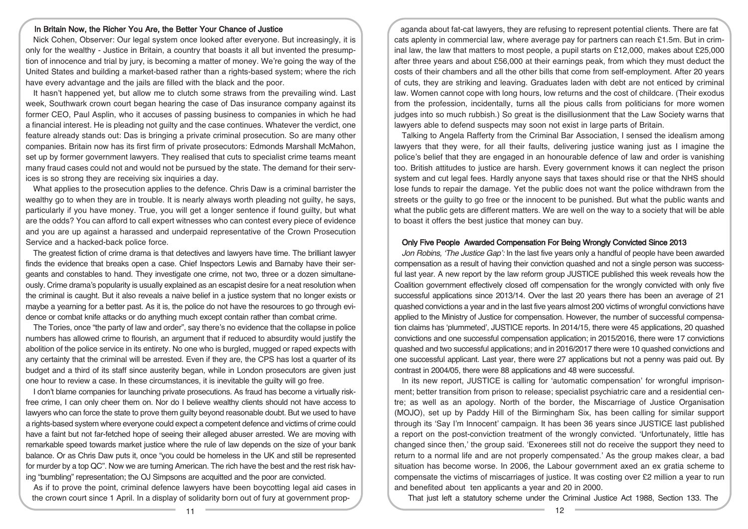# In Britain Now, the Richer You Are, the Better Your Chance of Justice

Nick Cohen, Observer: Our legal system once looked after everyone. But increasingly, it is only for the wealthy - Justice in Britain, a country that boasts it all but invented the presumption of innocence and trial by jury, is becoming a matter of money. We're going the way of the United States and building a market-based rather than a rights-based system; where the rich have every advantage and the jails are filled with the black and the poor.

It hasn't happened yet, but allow me to clutch some straws from the prevailing wind. Last week, Southwark crown court began hearing the case of Das insurance company against its former CEO, Paul Asplin, who it accuses of passing business to companies in which he had a financial interest. He is pleading not guilty and the case continues. Whatever the verdict, one feature already stands out: Das is bringing a private criminal prosecution. So are many other companies. Britain now has its first firm of private prosecutors: Edmonds Marshall McMahon, set up by former government lawyers. They realised that cuts to specialist crime teams meant many fraud cases could not and would not be pursued by the state. The demand for their services is so strong they are receiving six inquiries a day.

What applies to the prosecution applies to the defence. Chris Daw is a criminal barrister the wealthy go to when they are in trouble. It is nearly always worth pleading not guilty, he says, particularly if you have money. True, you will get a longer sentence if found guilty, but what are the odds? You can afford to call expert witnesses who can contest every piece of evidence and you are up against a harassed and underpaid representative of the Crown Prosecution Service and a hacked-back police force.

The greatest fiction of crime drama is that detectives and lawyers have time. The brilliant lawyer finds the evidence that breaks open a case. Chief Inspectors Lewis and Barnaby have their sergeants and constables to hand. They investigate one crime, not two, three or a dozen simultaneously. Crime drama's popularity is usually explained as an escapist desire for a neat resolution when the criminal is caught. But it also reveals a naive belief in a justice system that no longer exists or maybe a yearning for a better past. As it is, the police do not have the resources to go through evidence or combat knife attacks or do anything much except contain rather than combat crime.

The Tories, once "the party of law and order", say there's no evidence that the collapse in police numbers has allowed crime to flourish, an argument that if reduced to absurdity would justify the abolition of the police service in its entirety. No one who is burgled, mugged or raped expects with any certainty that the criminal will be arrested. Even if they are, the CPS has lost a quarter of its budget and a third of its staff since austerity began, while in London prosecutors are given just one hour to review a case. In these circumstances, it is inevitable the guilty will go free.

I don't blame companies for launching private prosecutions. As fraud has become a virtually riskfree crime, I can only cheer them on. Nor do I believe wealthy clients should not have access to lawyers who can force the state to prove them guilty beyond reasonable doubt. But we used to have a rights-based system where everyone could expect a competent defence and victims of crime could have a faint but not far-fetched hope of seeing their alleged abuser arrested. We are moving with remarkable speed towards market justice where the rule of law depends on the size of your bank balance. Or as Chris Daw puts it, once "you could be homeless in the UK and still be represented for murder by a top QC". Now we are turning American. The rich have the best and the rest risk having "bumbling" representation; the OJ Simpsons are acquitted and the poor are convicted.

As if to prove the point, criminal defence lawyers have been boycotting legal aid cases in the crown court since 1 April. In a display of solidarity born out of fury at government prop-

aganda about fat-cat lawyers, they are refusing to represent potential clients. There are fat cats aplenty in commercial law, where average pay for partners can reach £1.5m. But in criminal law, the law that matters to most people, a pupil starts on £12,000, makes about £25,000 after three years and about £56,000 at their earnings peak, from which they must deduct the costs of their chambers and all the other bills that come from self-employment. After 20 years of cuts, they are striking and leaving. Graduates laden with debt are not enticed by criminal law. Women cannot cope with long hours, low returns and the cost of childcare. (Their exodus from the profession, incidentally, turns all the pious calls from politicians for more women judges into so much rubbish.) So great is the disillusionment that the Law Society warns that lawyers able to defend suspects may soon not exist in large parts of Britain.

Talking to Angela Rafferty from the Criminal Bar Association, I sensed the idealism among lawyers that they were, for all their faults, delivering justice waning just as I imagine the police's belief that they are engaged in an honourable defence of law and order is vanishing too. British attitudes to justice are harsh. Every government knows it can neglect the prison system and cut legal fees. Hardly anyone says that taxes should rise or that the NHS should lose funds to repair the damage. Yet the public does not want the police withdrawn from the streets or the guilty to go free or the innocent to be punished. But what the public wants and what the public gets are different matters. We are well on the way to a society that will be able to boast it offers the best justice that money can buy.

# Only Five People Awarded Compensation For Being Wrongly Convicted Since 2013

Jon Robins, 'The Justice Gap': In the last five years only a handful of people have been awarded compensation as a result of having their conviction quashed and not a single person was successful last year. A new report by the law reform group JUSTICE published this week reveals how the Coalition government effectively closed off compensation for the wrongly convicted with only five successful applications since 2013/14. Over the last 20 years there has been an average of 21 quashed convictions a year and in the last five years almost 200 victims of wrongful convictions have applied to the Ministry of Justice for compensation. However, the number of successful compensation claims has 'plummeted', JUSTICE reports. In 2014/15, there were 45 applications, 20 quashed convictions and one successful compensation application; in 2015/2016, there were 17 convictions quashed and two successful applications; and in 2016/2017 there were 10 quashed convictions and one successful applicant. Last year, there were 27 applications but not a penny was paid out. By contrast in 2004/05, there were 88 applications and 48 were successful.

In its new report, JUSTICE is calling for 'automatic compensation' for wrongful imprisonment; better transition from prison to release; specialist psychiatric care and a residential centre; as well as an apology. North of the border, the Miscarriage of Justice Organisation (MOJO), set up by Paddy Hill of the Birmingham Six, has been calling for similar support through its 'Say I'm Innocent' campaign. It has been 36 years since JUSTICE last published a report on the post-conviction treatment of the wrongly convicted. 'Unfortunately, little has changed since then,' the group said. 'Exonerees still not do receive the support they need to return to a normal life and are not properly compensated.' As the group makes clear, a bad situation has become worse. In 2006, the Labour government axed an ex gratia scheme to compensate the victims of miscarriages of justice. It was costing over £2 million a year to run and benefited about ten applicants a year and 20 in 2000.

That just left a statutory scheme under the Criminal Justice Act 1988, Section 133. The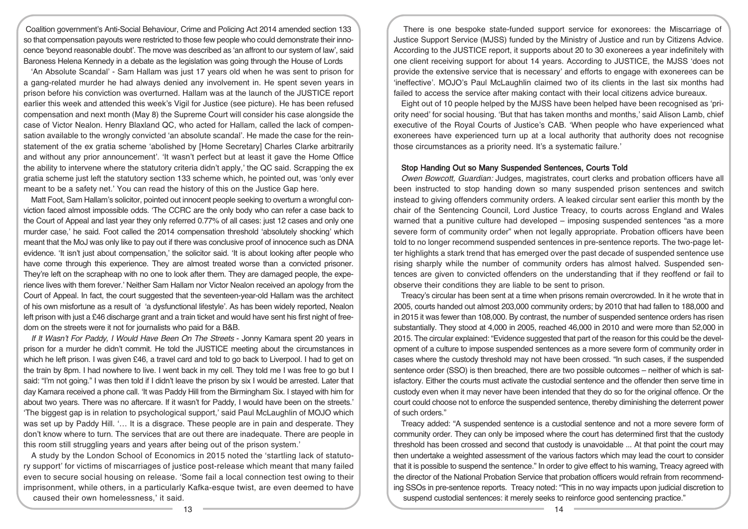Coalition government's Anti-Social Behaviour, Crime and Policing Act 2014 amended section 133 so that compensation payouts were restricted to those few people who could demonstrate their innocence 'beyond reasonable doubt'. The move was described as 'an affront to our system of law', said Baroness Helena Kennedy in a debate as the legislation was going through the House of Lords

'An Absolute Scandal' - Sam Hallam was just 17 years old when he was sent to prison for a gang-related murder he had always denied any involvement in. He spent seven years in prison before his conviction was overturned. Hallam was at the launch of the JUSTICE report earlier this week and attended this week's Vigil for Justice (see picture). He has been refused compensation and next month (May 8) the Supreme Court will consider his case alongside the case of Victor Nealon. Henry Blaxland QC, who acted for Hallam, called the lack of compensation available to the wrongly convicted 'an absolute scandal'. He made the case for the reinstatement of the ex gratia scheme 'abolished by [Home Secretary] Charles Clarke arbitrarily and without any prior announcement'. 'It wasn't perfect but at least it gave the Home Office the ability to intervene where the statutory criteria didn't apply,' the QC said. Scrapping the ex gratia scheme just left the statutory section 133 scheme which, he pointed out, was 'only ever meant to be a safety net.' You can read the history of this on the Justice Gap here.

Matt Foot, Sam Hallam's solicitor, pointed out innocent people seeking to overturn a wrongful conviction faced almost impossible odds. 'The CCRC are the only body who can refer a case back to the Court of Appeal and last year they only referred 0.77% of all cases: just 12 cases and only one murder case,' he said. Foot called the 2014 compensation threshold 'absolutely shocking' which meant that the MoJ was only like to pay out if there was conclusive proof of innocence such as DNA evidence. 'It isn't just about compensation,' the solicitor said. 'It is about looking after people who have come through this experience. They are almost treated worse than a convicted prisoner. They're left on the scrapheap with no one to look after them. They are damaged people, the experience lives with them forever.' Neither Sam Hallam nor Victor Nealon received an apology from the Court of Appeal. In fact, the court suggested that the seventeen-year-old Hallam was the architect of his own misfortune as a result of 'a dysfunctional lifestyle'. As has been widely reported, Nealon left prison with just a £46 discharge grant and a train ticket and would have sent his first night of freedom on the streets were it not for journalists who paid for a B&B.

If It Wasn't For Paddy, I Would Have Been On The Streets - Jonny Kamara spent 20 years in prison for a murder he didn't commit. He told the JUSTICE meeting about the circumstances in which he left prison. I was given £46, a travel card and told to go back to Liverpool. I had to get on the train by 8pm. I had nowhere to live. I went back in my cell. They told me I was free to go but I said: "I'm not going." I was then told if I didn't leave the prison by six I would be arrested. Later that day Kamara received a phone call. 'It was Paddy Hill from the Birmingham Six. I stayed with him for about two years. There was no aftercare. If it wasn't for Paddy, I would have been on the streets.' 'The biggest gap is in relation to psychological support,' said Paul McLaughlin of MOJO which was set up by Paddy Hill. '... It is a disgrace. These people are in pain and desperate. They don't know where to turn. The services that are out there are inadequate. There are people in this room still struggling years and years after being out of the prison system.'

A study by the London School of Economics in 2015 noted the 'startling lack of statutory support' for victims of miscarriages of justice post-release which meant that many failed even to secure social housing on release. 'Some fail a local connection test owing to their imprisonment, while others, in a particularly Kafka-esque twist, are even deemed to have caused their own homelessness,' it said.

There is one bespoke state-funded support service for exonorees: the Miscarriage of Justice Support Service (MJSS) funded by the Ministry of Justice and run by Citizens Advice. According to the JUSTICE report, it supports about 20 to 30 exonerees a year indefinitely with one client receiving support for about 14 years. According to JUSTICE, the MJSS 'does not provide the extensive service that is necessary' and efforts to engage with exonerees can be 'ineffective'. MOJO's Paul McLaughlin claimed two of its clients in the last six months had failed to access the service after making contact with their local citizens advice bureaux.

Eight out of 10 people helped by the MJSS have been helped have been recognised as 'priority need' for social housing. 'But that has taken months and months,' said Alison Lamb, chief executive of the Royal Courts of Justice's CAB. 'When people who have experienced what exonerees have experienced turn up at a local authority that authority does not recognise those circumstances as a priority need. It's a systematic failure.'

# Stop Handing Out so Many Suspended Sentences, Courts Told

Owen Bowcott, Guardian: Judges, magistrates, court clerks and probation officers have all been instructed to stop handing down so many suspended prison sentences and switch instead to giving offenders community orders. A leaked circular sent earlier this month by the chair of the Sentencing Council, Lord Justice Treacy, to courts across England and Wales warned that a punitive culture had developed – imposing suspended sentences "as a more severe form of community order" when not legally appropriate. Probation officers have been told to no longer recommend suspended sentences in pre-sentence reports. The two-page letter highlights a stark trend that has emerged over the past decade of suspended sentence use rising sharply while the number of community orders has almost halved. Suspended sentences are given to convicted offenders on the understanding that if they reoffend or fail to observe their conditions they are liable to be sent to prison.

Treacy's circular has been sent at a time when prisons remain overcrowded. In it he wrote that in 2005, courts handed out almost 203,000 community orders; by 2010 that had fallen to 188,000 and in 2015 it was fewer than 108,000. By contrast, the number of suspended sentence orders has risen substantially. They stood at 4,000 in 2005, reached 46,000 in 2010 and were more than 52,000 in 2015. The circular explained: "Evidence suggested that part of the reason for this could be the development of a culture to impose suspended sentences as a more severe form of community order in cases where the custody threshold may not have been crossed. "In such cases, if the suspended sentence order (SSO) is then breached, there are two possible outcomes – neither of which is satisfactory. Either the courts must activate the custodial sentence and the offender then serve time in custody even when it may never have been intended that they do so for the original offence. Or the court could choose not to enforce the suspended sentence, thereby diminishing the deterrent power of such orders."

Treacy added: "A suspended sentence is a custodial sentence and not a more severe form of community order. They can only be imposed where the court has determined first that the custody threshold has been crossed and second that custody is unavoidable ... At that point the court may then undertake a weighted assessment of the various factors which may lead the court to consider that it is possible to suspend the sentence." In order to give effect to his warning, Treacy agreed with the director of the National Probation Service that probation officers would refrain from recommending SSOs in pre-sentence reports. Treacy noted: "This in no way impacts upon judicial discretion to suspend custodial sentences: it merely seeks to reinforce good sentencing practice."

13 14